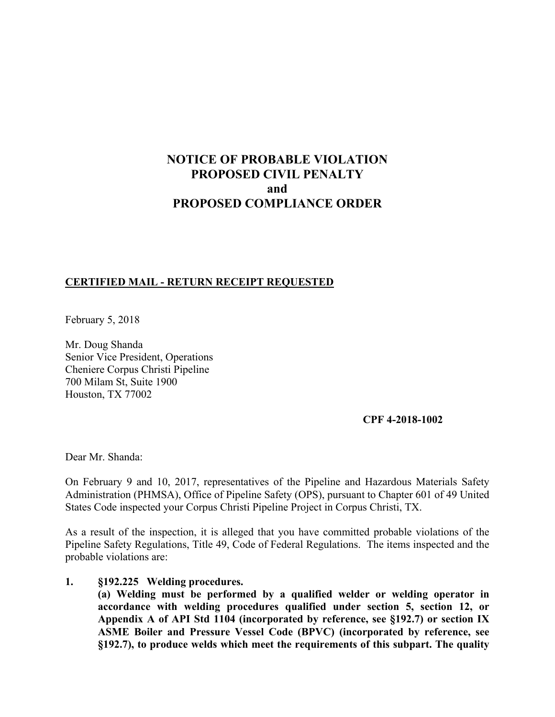# **NOTICE OF PROBABLE VIOLATION PROPOSED CIVIL PENALTY and PROPOSED COMPLIANCE ORDER**

## **CERTIFIED MAIL - RETURN RECEIPT REQUESTED**

February 5, 2018

Mr. Doug Shanda Senior Vice President, Operations Cheniere Corpus Christi Pipeline 700 Milam St, Suite 1900 Houston, TX 77002

**CPF 4-2018-1002** 

Dear Mr. Shanda:

On February 9 and 10, 2017, representatives of the Pipeline and Hazardous Materials Safety Administration (PHMSA), Office of Pipeline Safety (OPS), pursuant to Chapter 601 of 49 United States Code inspected your Corpus Christi Pipeline Project in Corpus Christi, TX.

 Pipeline Safety Regulations, Title 49, Code of Federal Regulations. The items inspected and the As a result of the inspection, it is alleged that you have committed probable violations of the probable violations are:

**1. §192.225 Welding procedures.** 

 **accordance with welding procedures qualified under section 5, section 12, or ASME Boiler and Pressure Vessel Code (BPVC) (incorporated by reference, see (a) Welding must be performed by a qualified welder or welding operator in Appendix A of API Std 1104 (incorporated by reference, see §192.7) or section IX §192.7), to produce welds which meet the requirements of this subpart. The quality**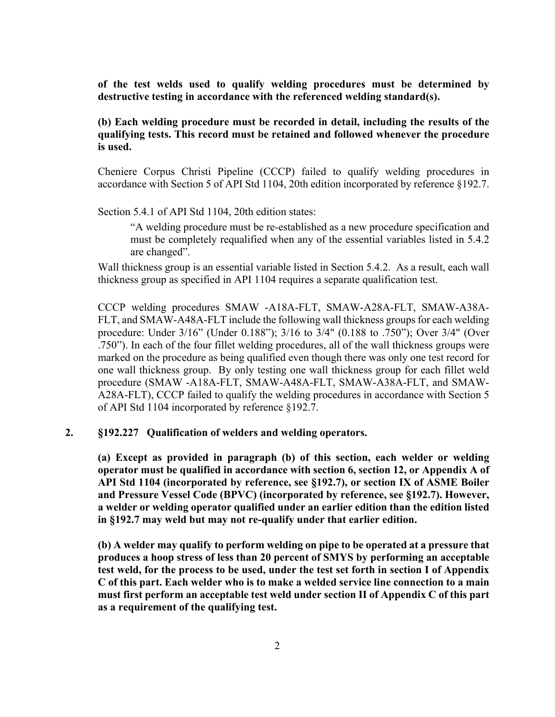**of the test welds used to qualify welding procedures must be determined by destructive testing in accordance with the referenced welding standard(s).**

**(b) Each welding procedure must be recorded in detail, including the results of the qualifying tests. This record must be retained and followed whenever the procedure is used.** 

Cheniere Corpus Christi Pipeline (CCCP) failed to qualify welding procedures in accordance with Section 5 of API Std 1104, 20th edition incorporated by reference §192.7.

Section 5.4.1 of API Std 1104, 20th edition states:

"A welding procedure must be re-established as a new procedure specification and must be completely requalified when any of the essential variables listed in 5.4.2 are changed".

 thickness group as specified in API 1104 requires a separate qualification test. Wall thickness group is an essential variable listed in Section 5.4.2. As a result, each wall

CCCP welding procedures SMAW -A18A-FLT, SMAW-A28A-FLT, SMAW-A38A-FLT, and SMAW-A48A-FLT include the following wall thickness groups for each welding procedure: Under 3/16" (Under 0.188"); 3/16 to 3/4" (0.188 to .750"); Over 3/4" (Over .750"). In each of the four fillet welding procedures, all of the wall thickness groups were marked on the procedure as being qualified even though there was only one test record for one wall thickness group. By only testing one wall thickness group for each fillet weld procedure (SMAW -A18A-FLT, SMAW-A48A-FLT, SMAW-A38A-FLT, and SMAW-A28A-FLT), CCCP failed to qualify the welding procedures in accordance with Section 5 of API Std 1104 incorporated by reference §192.7.

#### **2. §192.227 Qualification of welders and welding operators.**

 **API Std 1104 (incorporated by reference, see §192.7), or section IX of ASME Boiler (a) Except as provided in paragraph (b) of this section, each welder or welding operator must be qualified in accordance with section 6, section 12, or Appendix A of and Pressure Vessel Code (BPVC) (incorporated by reference, see §192.7). However, a welder or welding operator qualified under an earlier edition than the edition listed in §192.7 may weld but may not re-qualify under that earlier edition.** 

 **C of this part. Each welder who is to make a welded service line connection to a main (b) A welder may qualify to perform welding on pipe to be operated at a pressure that produces a hoop stress of less than 20 percent of SMYS by performing an acceptable test weld, for the process to be used, under the test set forth in section I of Appendix must first perform an acceptable test weld under section II of Appendix C of this part as a requirement of the qualifying test.**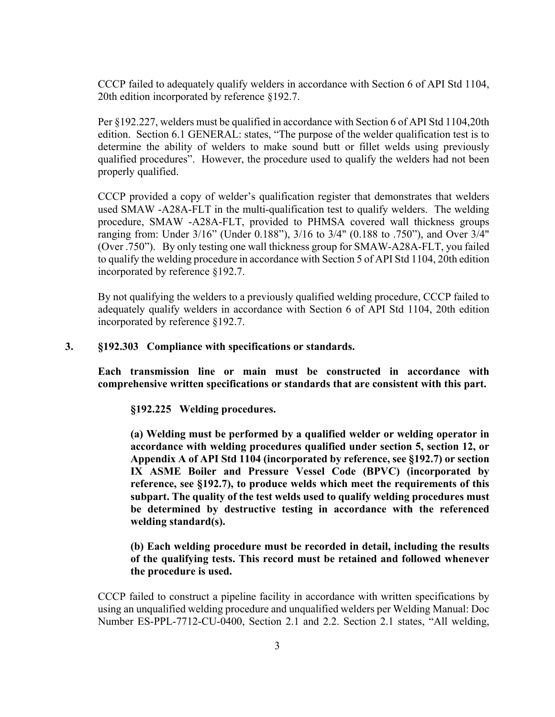CCCP failed to adequately qualify welders in accordance with Section 6 of API Std 1104, 20th edition incorporated by reference §192.7.

Per §192.227, welders must be qualified in accordance with Section 6 of API Std 1104,20th edition. Section 6.1 GENERAL: states, "The purpose of the welder qualification test is to determine the ability of welders to make sound butt or fillet welds using previously qualified procedures". However, the procedure used to qualify the welders had not been properly qualified.

 (Over .750"). By only testing one wall thickness group for SMAW-A28A-FLT, you failed to qualify the welding procedure in accordance with Section 5 of API Std 1104, 20th edition CCCP provided a copy of welder's qualification register that demonstrates that welders used SMAW -A28A-FLT in the multi-qualification test to qualify welders. The welding procedure, SMAW -A28A-FLT, provided to PHMSA covered wall thickness groups ranging from: Under 3/16" (Under 0.188"), 3/16 to 3/4" (0.188 to .750"), and Over 3/4" incorporated by reference §192.7.

 By not qualifying the welders to a previously qualified welding procedure, CCCP failed to adequately qualify welders in accordance with Section 6 of API Std 1104, 20th edition incorporated by reference §192.7.

## **3. §192.303 Compliance with specifications or standards.**

**Each transmission line or main must be constructed in accordance with comprehensive written specifications or standards that are consistent with this part.** 

**§192.225 Welding procedures.** 

**(a) Welding must be performed by a qualified welder or welding operator in accordance with welding procedures qualified under section 5, section 12, or Appendix A of API Std 1104 (incorporated by reference, see §192.7) or section IX ASME Boiler and Pressure Vessel Code (BPVC) (incorporated by reference, see §192.7), to produce welds which meet the requirements of this subpart. The quality of the test welds used to qualify welding procedures must be determined by destructive testing in accordance with the referenced welding standard(s).**

**(b) Each welding procedure must be recorded in detail, including the results of the qualifying tests. This record must be retained and followed whenever the procedure is used.**

CCCP failed to construct a pipeline facility in accordance with written specifications by using an unqualified welding procedure and unqualified welders per Welding Manual: Doc Number ES-PPL-7712-CU-0400, Section 2.1 and 2.2. Section 2.1 states, "All welding,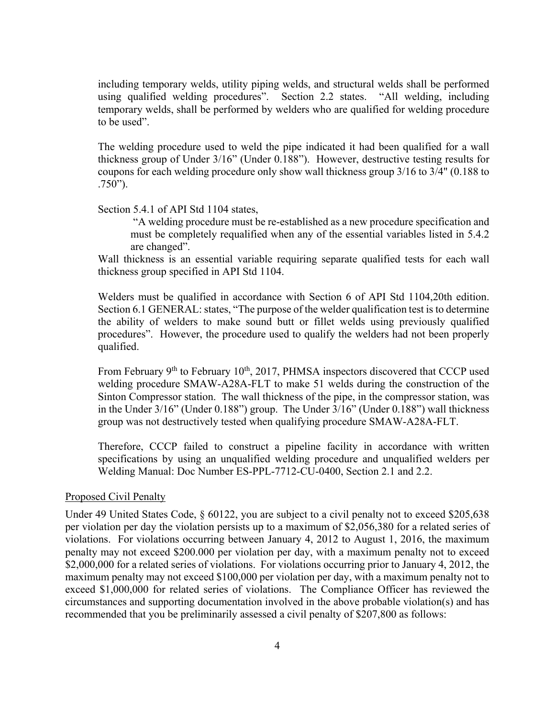including temporary welds, utility piping welds, and structural welds shall be performed using qualified welding procedures". Section 2.2 states. "All welding, including temporary welds, shall be performed by welders who are qualified for welding procedure to be used".

 The welding procedure used to weld the pipe indicated it had been qualified for a wall thickness group of Under 3/16" (Under 0.188"). However, destructive testing results for coupons for each welding procedure only show wall thickness group 3/16 to 3/4" (0.188 to .750").

## Section 5.4.1 of API Std 1104 states,

 "A welding procedure must be re-established as a new procedure specification and must be completely requalified when any of the essential variables listed in 5.4.2 are changed".

Wall thickness is an essential variable requiring separate qualified tests for each wall thickness group specified in API Std 1104.

 Section 6.1 GENERAL: states, "The purpose of the welder qualification test is to determine procedures". However, the procedure used to qualify the welders had not been properly Welders must be qualified in accordance with Section 6 of API Std 1104,20th edition. the ability of welders to make sound butt or fillet welds using previously qualified qualified.

From February 9<sup>th</sup> to February 10<sup>th</sup>, 2017, PHMSA inspectors discovered that CCCP used welding procedure SMAW-A28A-FLT to make 51 welds during the construction of the Sinton Compressor station. The wall thickness of the pipe, in the compressor station, was in the Under 3/16" (Under 0.188") group. The Under 3/16" (Under 0.188") wall thickness group was not destructively tested when qualifying procedure SMAW-A28A-FLT.

Therefore, CCCP failed to construct a pipeline facility in accordance with written specifications by using an unqualified welding procedure and unqualified welders per Welding Manual: Doc Number ES-PPL-7712-CU-0400, Section 2.1 and 2.2.

#### Proposed Civil Penalty

 penalty may not exceed \$200.000 per violation per day, with a maximum penalty not to exceed Under 49 United States Code,  $\S 60122$ , you are subject to a civil penalty not to exceed \$205,638 per violation per day the violation persists up to a maximum of \$2,056,380 for a related series of violations. For violations occurring between January 4, 2012 to August 1, 2016, the maximum \$2,000,000 for a related series of violations. For violations occurring prior to January 4, 2012, the maximum penalty may not exceed \$100,000 per violation per day, with a maximum penalty not to exceed \$1,000,000 for related series of violations. The Compliance Officer has reviewed the circumstances and supporting documentation involved in the above probable violation(s) and has recommended that you be preliminarily assessed a civil penalty of \$207,800 as follows: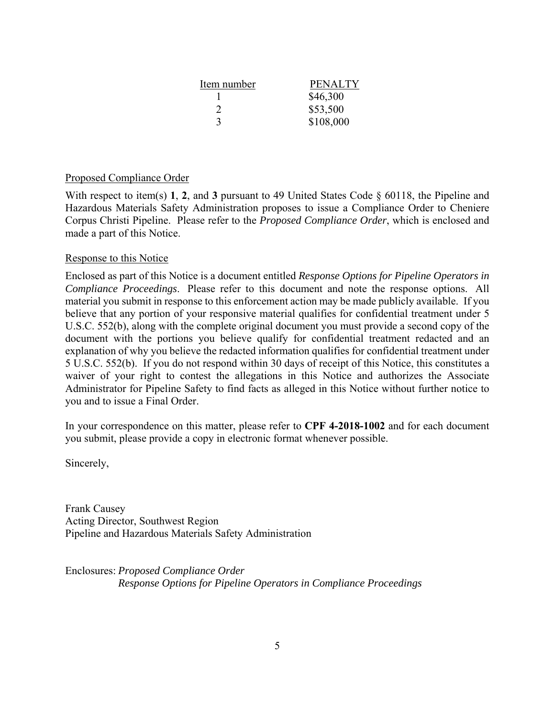| Item number   | <b>PENALTY</b> |
|---------------|----------------|
|               | \$46,300       |
| $\mathcal{D}$ | \$53,500       |
|               | \$108,000      |

#### Proposed Compliance Order

 Corpus Christi Pipeline. Please refer to the *Proposed Compliance Order*, which is enclosed and With respect to item(s) **1**, **2**, and **3** pursuant to 49 United States Code § 60118, the Pipeline and Hazardous Materials Safety Administration proposes to issue a Compliance Order to Cheniere made a part of this Notice.

#### Response to this Notice

 *Compliance Proceedings*. Please refer to this document and note the response options. All Enclosed as part of this Notice is a document entitled *Response Options for Pipeline Operators in*  material you submit in response to this enforcement action may be made publicly available. If you believe that any portion of your responsive material qualifies for confidential treatment under 5 U.S.C. 552(b), along with the complete original document you must provide a second copy of the document with the portions you believe qualify for confidential treatment redacted and an explanation of why you believe the redacted information qualifies for confidential treatment under 5 U.S.C. 552(b). If you do not respond within 30 days of receipt of this Notice, this constitutes a waiver of your right to contest the allegations in this Notice and authorizes the Associate Administrator for Pipeline Safety to find facts as alleged in this Notice without further notice to you and to issue a Final Order.

In your correspondence on this matter, please refer to **CPF 4-2018-1002** and for each document you submit, please provide a copy in electronic format whenever possible.

Sincerely,

Frank Causey Acting Director, Southwest Region Pipeline and Hazardous Materials Safety Administration

Enclosures: *Proposed Compliance Order Response Options for Pipeline Operators in Compliance Proceedings*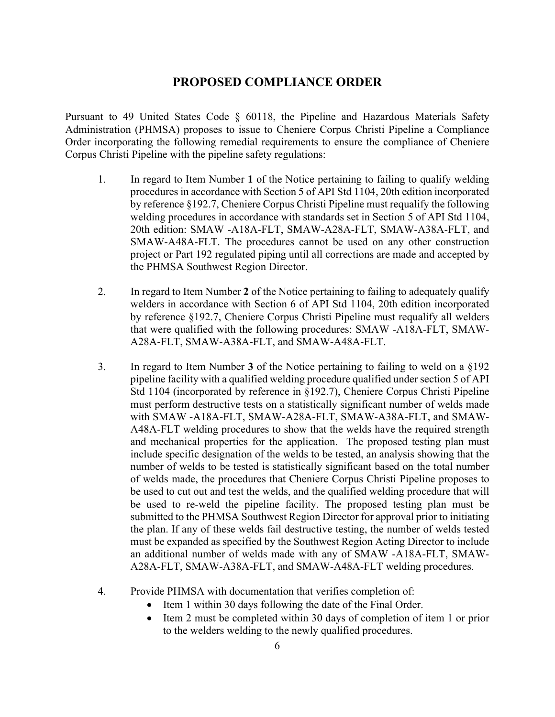# **PROPOSED COMPLIANCE ORDER**

Pursuant to 49 United States Code § 60118, the Pipeline and Hazardous Materials Safety Administration (PHMSA) proposes to issue to Cheniere Corpus Christi Pipeline a Compliance Order incorporating the following remedial requirements to ensure the compliance of Cheniere Corpus Christi Pipeline with the pipeline safety regulations:

- 1. In regard to Item Number **1** of the Notice pertaining to failing to qualify welding welding procedures in accordance with standards set in Section 5 of API Std 1104, procedures in accordance with Section 5 of API Std 1104, 20th edition incorporated by reference §192.7, Cheniere Corpus Christi Pipeline must requalify the following 20th edition: SMAW -A18A-FLT, SMAW-A28A-FLT, SMAW-A38A-FLT, and SMAW-A48A-FLT. The procedures cannot be used on any other construction project or Part 192 regulated piping until all corrections are made and accepted by the PHMSA Southwest Region Director.
- 2. In regard to Item Number **2** of the Notice pertaining to failing to adequately qualify welders in accordance with Section 6 of API Std 1104, 20th edition incorporated by reference §192.7, Cheniere Corpus Christi Pipeline must requalify all welders that were qualified with the following procedures: SMAW -A18A-FLT, SMAW-A28A-FLT, SMAW-A38A-FLT, and SMAW-A48A-FLT.
- must perform destructive tests on a statistically significant number of welds made number of welds to be tested is statistically significant based on the total number an additional number of welds made with any of SMAW -A18A-FLT, SMAW-3. In regard to Item Number **3** of the Notice pertaining to failing to weld on a §192 pipeline facility with a qualified welding procedure qualified under section 5 of API Std 1104 (incorporated by reference in §192.7), Cheniere Corpus Christi Pipeline with SMAW -A18A-FLT, SMAW-A28A-FLT, SMAW-A38A-FLT, and SMAW-A48A-FLT welding procedures to show that the welds have the required strength and mechanical properties for the application. The proposed testing plan must include specific designation of the welds to be tested, an analysis showing that the of welds made, the procedures that Cheniere Corpus Christi Pipeline proposes to be used to cut out and test the welds, and the qualified welding procedure that will be used to re-weld the pipeline facility. The proposed testing plan must be submitted to the PHMSA Southwest Region Director for approval prior to initiating the plan. If any of these welds fail destructive testing, the number of welds tested must be expanded as specified by the Southwest Region Acting Director to include A28A-FLT, SMAW-A38A-FLT, and SMAW-A48A-FLT welding procedures.
- 4. Provide PHMSA with documentation that verifies completion of:
	- Item 1 within 30 days following the date of the Final Order.
	- Item 2 must be completed within 30 days of completion of item 1 or prior to the welders welding to the newly qualified procedures.